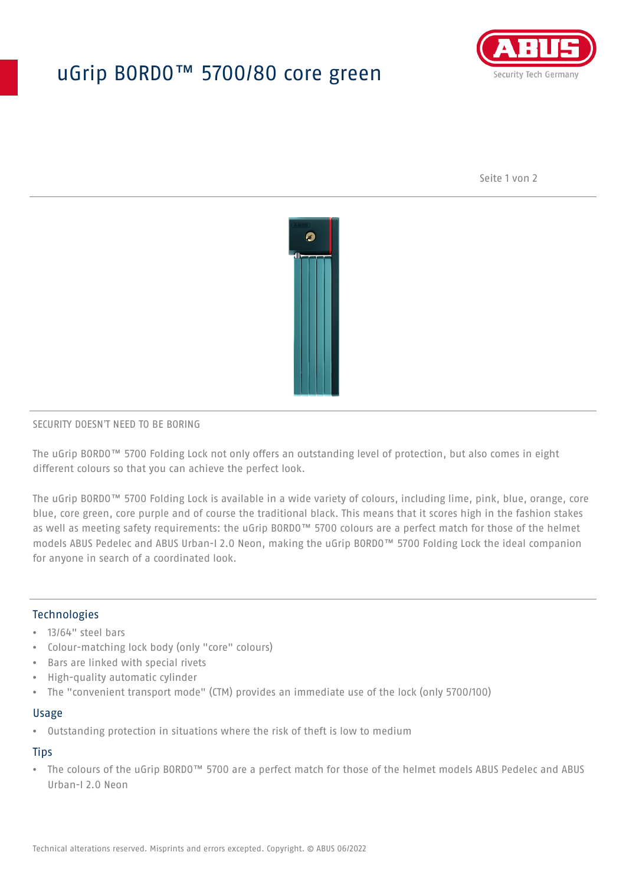# uGrip BORDO™ 5700/80 core green



Seite 1 von 2



## SECURITY DOESN'T NEED TO BE BORING

The uGrip BORDO™ 5700 Folding Lock not only offers an outstanding level of protection, but also comes in eight different colours so that you can achieve the perfect look.

The uGrip BORDO™ 5700 Folding Lock is available in a wide variety of colours, including lime, pink, blue, orange, core blue, core green, core purple and of course the traditional black. This means that it scores high in the fashion stakes as well as meeting safety requirements: the uGrip BORDO™ 5700 colours are a perfect match for those of the helmet models ABUS Pedelec and ABUS Urban-I 2.0 Neon, making the uGrip BORDO™ 5700 Folding Lock the ideal companion for anyone in search of a coordinated look.

# Technologies

- 13/64" steel bars
- Colour-matching lock body (only "core" colours)
- Bars are linked with special rivets
- High-quality automatic cylinder
- The "convenient transport mode" (CTM) provides an immediate use of the lock (only 5700/100)

#### Usage

• Outstanding protection in situations where the risk of theft is low to medium

## **Tips**

• The colours of the uGrip BORDO™ 5700 are a perfect match for those of the helmet models ABUS Pedelec and ABUS Urban-I 2.0 Neon